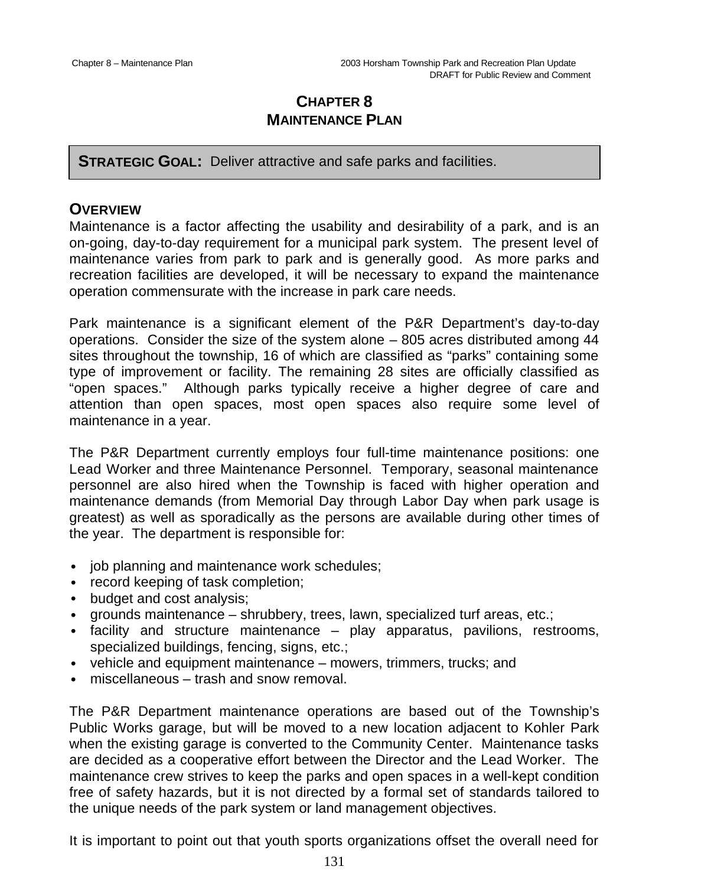# **CHAPTER 8 MAINTENANCE PLAN**

**STRATEGIC GOAL:** Deliver attractive and safe parks and facilities.

## **OVERVIEW**

Maintenance is a factor affecting the usability and desirability of a park, and is an on-going, day-to-day requirement for a municipal park system. The present level of maintenance varies from park to park and is generally good. As more parks and recreation facilities are developed, it will be necessary to expand the maintenance operation commensurate with the increase in park care needs.

Park maintenance is a significant element of the P&R Department's day-to-day operations. Consider the size of the system alone – 805 acres distributed among 44 sites throughout the township, 16 of which are classified as "parks" containing some type of improvement or facility. The remaining 28 sites are officially classified as "open spaces." Although parks typically receive a higher degree of care and attention than open spaces, most open spaces also require some level of maintenance in a year.

The P&R Department currently employs four full-time maintenance positions: one Lead Worker and three Maintenance Personnel. Temporary, seasonal maintenance personnel are also hired when the Township is faced with higher operation and maintenance demands (from Memorial Day through Labor Day when park usage is greatest) as well as sporadically as the persons are available during other times of the year. The department is responsible for:

- job planning and maintenance work schedules;
- record keeping of task completion;
- budget and cost analysis;
- grounds maintenance shrubbery, trees, lawn, specialized turf areas, etc.;
- facility and structure maintenance play apparatus, pavilions, restrooms, specialized buildings, fencing, signs, etc.;
- vehicle and equipment maintenance mowers, trimmers, trucks; and
- miscellaneous trash and snow removal.

The P&R Department maintenance operations are based out of the Township's Public Works garage, but will be moved to a new location adjacent to Kohler Park when the existing garage is converted to the Community Center. Maintenance tasks are decided as a cooperative effort between the Director and the Lead Worker. The maintenance crew strives to keep the parks and open spaces in a well-kept condition free of safety hazards, but it is not directed by a formal set of standards tailored to the unique needs of the park system or land management objectives.

It is important to point out that youth sports organizations offset the overall need for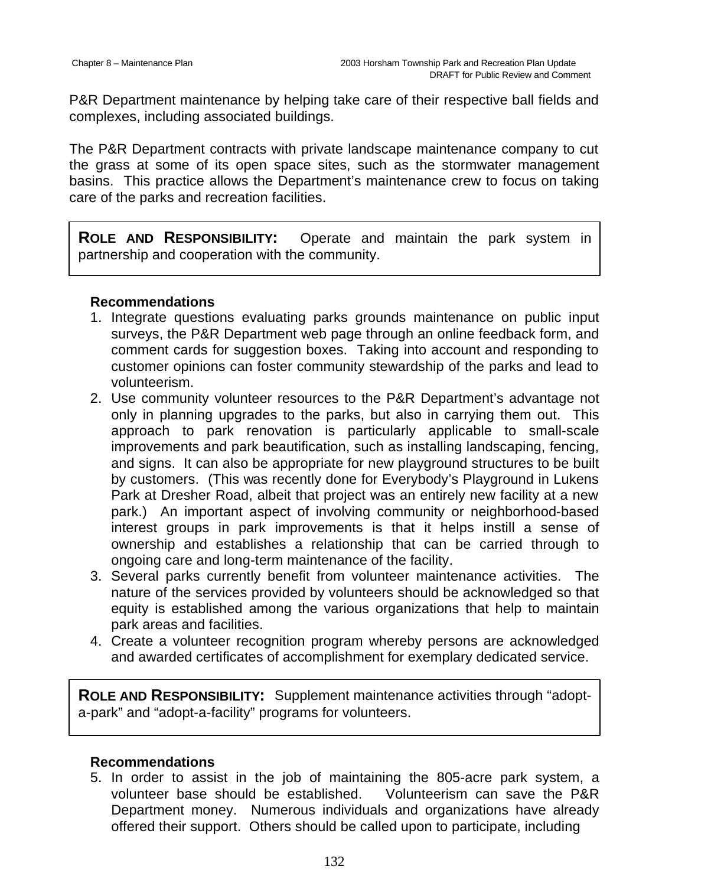P&R Department maintenance by helping take care of their respective ball fields and complexes, including associated buildings.

The P&R Department contracts with private landscape maintenance company to cut the grass at some of its open space sites, such as the stormwater management basins. This practice allows the Department's maintenance crew to focus on taking care of the parks and recreation facilities.

**ROLE AND RESPONSIBILITY:** Operate and maintain the park system in partnership and cooperation with the community.

#### **Recommendations**

- 1. Integrate questions evaluating parks grounds maintenance on public input surveys, the P&R Department web page through an online feedback form, and comment cards for suggestion boxes. Taking into account and responding to customer opinions can foster community stewardship of the parks and lead to volunteerism.
- 2. Use community volunteer resources to the P&R Department's advantage not only in planning upgrades to the parks, but also in carrying them out. This approach to park renovation is particularly applicable to small-scale improvements and park beautification, such as installing landscaping, fencing, and signs. It can also be appropriate for new playground structures to be built by customers. (This was recently done for Everybody's Playground in Lukens Park at Dresher Road, albeit that project was an entirely new facility at a new park.) An important aspect of involving community or neighborhood-based interest groups in park improvements is that it helps instill a sense of ownership and establishes a relationship that can be carried through to ongoing care and long-term maintenance of the facility.
- 3. Several parks currently benefit from volunteer maintenance activities. The nature of the services provided by volunteers should be acknowledged so that equity is established among the various organizations that help to maintain park areas and facilities.
- 4. Create a volunteer recognition program whereby persons are acknowledged and awarded certificates of accomplishment for exemplary dedicated service.

**ROLE AND RESPONSIBILITY:** Supplement maintenance activities through "adopta-park" and "adopt-a-facility" programs for volunteers.

### **Recommendations**

5. In order to assist in the job of maintaining the 805-acre park system, a volunteer base should be established. Volunteerism can save the P&R Department money. Numerous individuals and organizations have already offered their support. Others should be called upon to participate, including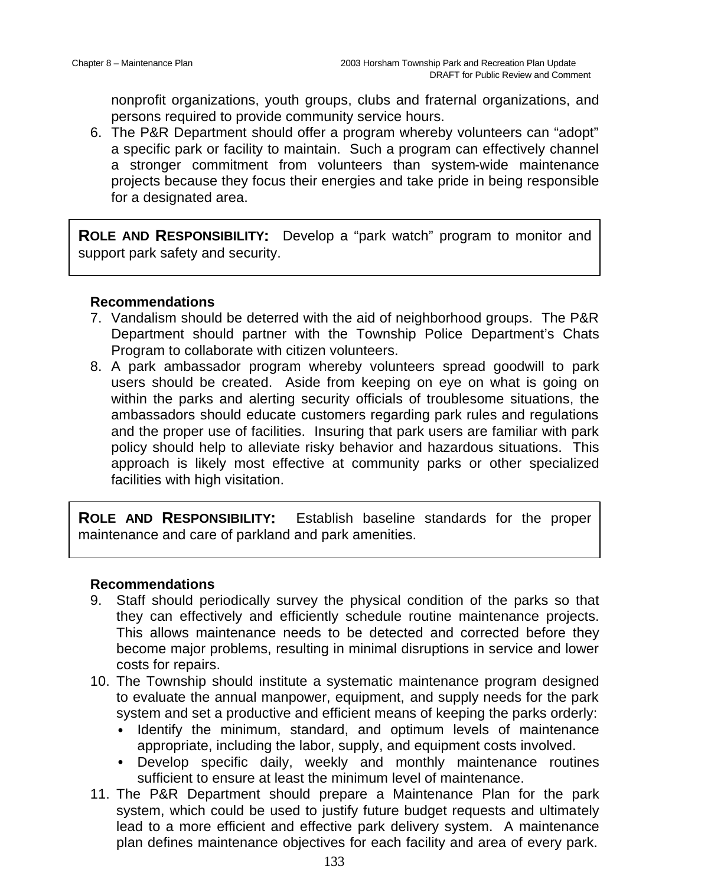nonprofit organizations, youth groups, clubs and fraternal organizations, and persons required to provide community service hours.

6. The P&R Department should offer a program whereby volunteers can "adopt" a specific park or facility to maintain. Such a program can effectively channel a stronger commitment from volunteers than system-wide maintenance projects because they focus their energies and take pride in being responsible for a designated area.

**ROLE AND RESPONSIBILITY:** Develop a "park watch" program to monitor and support park safety and security.

### **Recommendations**

- 7. Vandalism should be deterred with the aid of neighborhood groups. The P&R Department should partner with the Township Police Department's Chats Program to collaborate with citizen volunteers.
- 8. A park ambassador program whereby volunteers spread goodwill to park users should be created. Aside from keeping on eye on what is going on within the parks and alerting security officials of troublesome situations, the ambassadors should educate customers regarding park rules and regulations and the proper use of facilities. Insuring that park users are familiar with park policy should help to alleviate risky behavior and hazardous situations. This approach is likely most effective at community parks or other specialized facilities with high visitation.

**ROLE AND RESPONSIBILITY:** Establish baseline standards for the proper maintenance and care of parkland and park amenities.

- 9. Staff should periodically survey the physical condition of the parks so that they can effectively and efficiently schedule routine maintenance projects. This allows maintenance needs to be detected and corrected before they become major problems, resulting in minimal disruptions in service and lower costs for repairs.
- 10. The Township should institute a systematic maintenance program designed to evaluate the annual manpower, equipment, and supply needs for the park system and set a productive and efficient means of keeping the parks orderly:
	- Identify the minimum, standard, and optimum levels of maintenance appropriate, including the labor, supply, and equipment costs involved.
	- Develop specific daily, weekly and monthly maintenance routines sufficient to ensure at least the minimum level of maintenance.
- 11. The P&R Department should prepare a Maintenance Plan for the park system, which could be used to justify future budget requests and ultimately lead to a more efficient and effective park delivery system. A maintenance plan defines maintenance objectives for each facility and area of every park.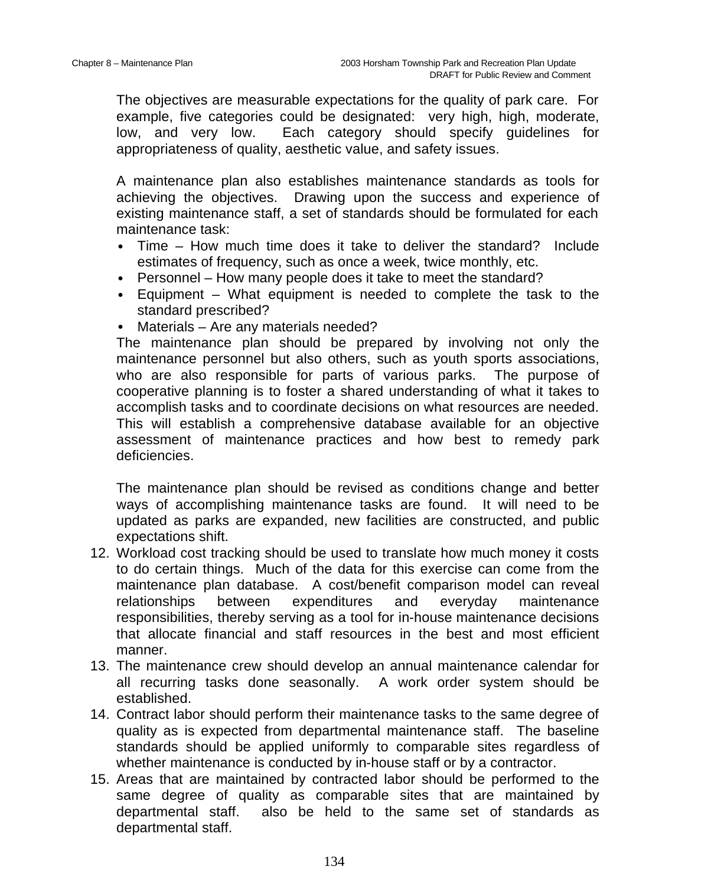The objectives are measurable expectations for the quality of park care. For example, five categories could be designated: very high, high, moderate, low, and very low. Each category should specify guidelines for appropriateness of quality, aesthetic value, and safety issues.

A maintenance plan also establishes maintenance standards as tools for achieving the objectives. Drawing upon the success and experience of existing maintenance staff, a set of standards should be formulated for each maintenance task:

- Time How much time does it take to deliver the standard? Include estimates of frequency, such as once a week, twice monthly, etc.
- Personnel How many people does it take to meet the standard?
- Equipment What equipment is needed to complete the task to the standard prescribed?
- Materials Are any materials needed?

The maintenance plan should be prepared by involving not only the maintenance personnel but also others, such as youth sports associations, who are also responsible for parts of various parks. The purpose of cooperative planning is to foster a shared understanding of what it takes to accomplish tasks and to coordinate decisions on what resources are needed. This will establish a comprehensive database available for an objective assessment of maintenance practices and how best to remedy park deficiencies.

The maintenance plan should be revised as conditions change and better ways of accomplishing maintenance tasks are found. It will need to be updated as parks are expanded, new facilities are constructed, and public expectations shift.

- 12. Workload cost tracking should be used to translate how much money it costs to do certain things. Much of the data for this exercise can come from the maintenance plan database. A cost/benefit comparison model can reveal relationships between expenditures and everyday maintenance responsibilities, thereby serving as a tool for in-house maintenance decisions that allocate financial and staff resources in the best and most efficient manner.
- 13. The maintenance crew should develop an annual maintenance calendar for all recurring tasks done seasonally. A work order system should be established.
- 14. Contract labor should perform their maintenance tasks to the same degree of quality as is expected from departmental maintenance staff. The baseline standards should be applied uniformly to comparable sites regardless of whether maintenance is conducted by in-house staff or by a contractor.
- 15. Areas that are maintained by contracted labor should be performed to the same degree of quality as comparable sites that are maintained by departmental staff. also be held to the same set of standards as departmental staff.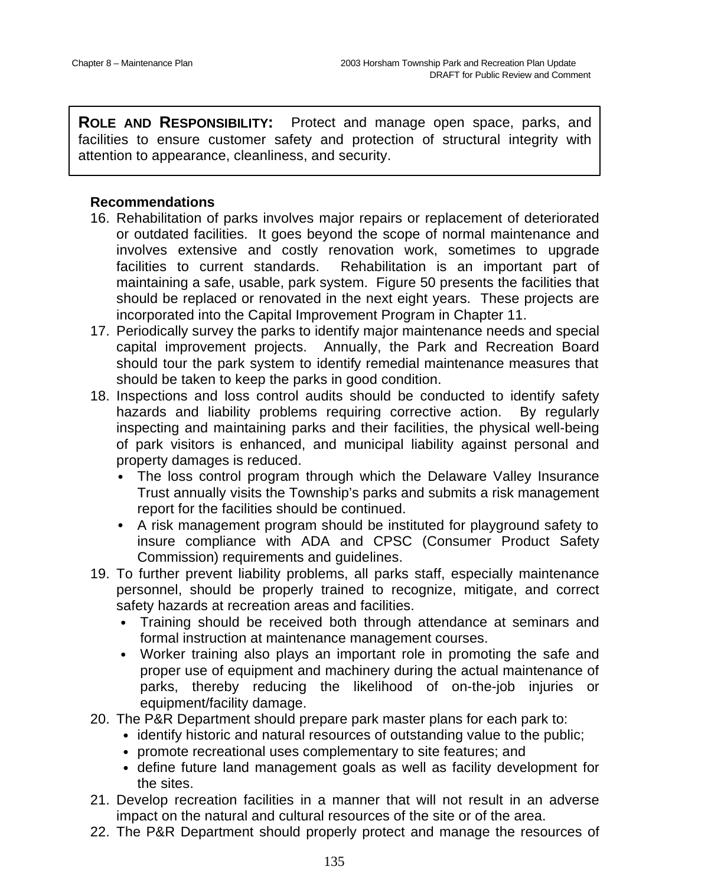**ROLE AND RESPONSIBILITY:** Protect and manage open space, parks, and facilities to ensure customer safety and protection of structural integrity with attention to appearance, cleanliness, and security.

- 16. Rehabilitation of parks involves major repairs or replacement of deteriorated or outdated facilities. It goes beyond the scope of normal maintenance and involves extensive and costly renovation work, sometimes to upgrade facilities to current standards. Rehabilitation is an important part of maintaining a safe, usable, park system. Figure 50 presents the facilities that should be replaced or renovated in the next eight years. These projects are incorporated into the Capital Improvement Program in Chapter 11.
- 17. Periodically survey the parks to identify major maintenance needs and special capital improvement projects. Annually, the Park and Recreation Board should tour the park system to identify remedial maintenance measures that should be taken to keep the parks in good condition.
- 18. Inspections and loss control audits should be conducted to identify safety hazards and liability problems requiring corrective action. By regularly inspecting and maintaining parks and their facilities, the physical well-being of park visitors is enhanced, and municipal liability against personal and property damages is reduced.
	- The loss control program through which the Delaware Valley Insurance Trust annually visits the Township's parks and submits a risk management report for the facilities should be continued.
	- A risk management program should be instituted for playground safety to insure compliance with ADA and CPSC (Consumer Product Safety Commission) requirements and guidelines.
- 19. To further prevent liability problems, all parks staff, especially maintenance personnel, should be properly trained to recognize, mitigate, and correct safety hazards at recreation areas and facilities.
	- Training should be received both through attendance at seminars and formal instruction at maintenance management courses.
	- Worker training also plays an important role in promoting the safe and proper use of equipment and machinery during the actual maintenance of parks, thereby reducing the likelihood of on-the-job injuries or equipment/facility damage.
- 20. The P&R Department should prepare park master plans for each park to:
	- identify historic and natural resources of outstanding value to the public;
	- promote recreational uses complementary to site features; and
	- define future land management goals as well as facility development for the sites.
- 21. Develop recreation facilities in a manner that will not result in an adverse impact on the natural and cultural resources of the site or of the area.
- 22. The P&R Department should properly protect and manage the resources of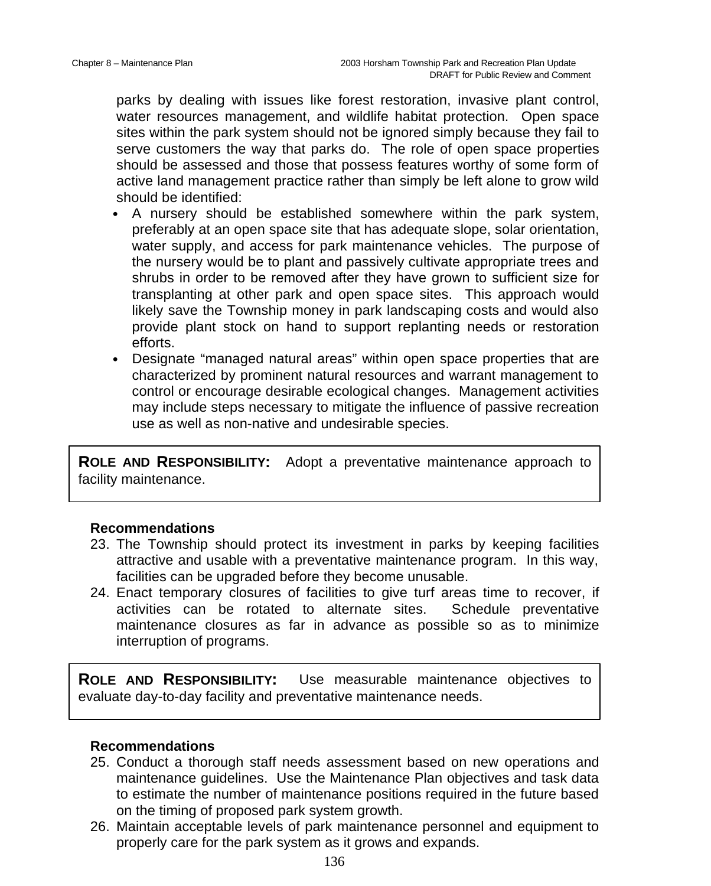parks by dealing with issues like forest restoration, invasive plant control, water resources management, and wildlife habitat protection. Open space sites within the park system should not be ignored simply because they fail to serve customers the way that parks do. The role of open space properties should be assessed and those that possess features worthy of some form of active land management practice rather than simply be left alone to grow wild should be identified:

- A nursery should be established somewhere within the park system, preferably at an open space site that has adequate slope, solar orientation, water supply, and access for park maintenance vehicles. The purpose of the nursery would be to plant and passively cultivate appropriate trees and shrubs in order to be removed after they have grown to sufficient size for transplanting at other park and open space sites. This approach would likely save the Township money in park landscaping costs and would also provide plant stock on hand to support replanting needs or restoration efforts.
- Designate "managed natural areas" within open space properties that are characterized by prominent natural resources and warrant management to control or encourage desirable ecological changes. Management activities may include steps necessary to mitigate the influence of passive recreation use as well as non-native and undesirable species.

**ROLE AND RESPONSIBILITY:** Adopt a preventative maintenance approach to facility maintenance.

### **Recommendations**

- 23. The Township should protect its investment in parks by keeping facilities attractive and usable with a preventative maintenance program. In this way, facilities can be upgraded before they become unusable.
- 24. Enact temporary closures of facilities to give turf areas time to recover, if activities can be rotated to alternate sites. Schedule preventative maintenance closures as far in advance as possible so as to minimize interruption of programs.

**ROLE AND RESPONSIBILITY:** Use measurable maintenance objectives to evaluate day-to-day facility and preventative maintenance needs.

- 25. Conduct a thorough staff needs assessment based on new operations and maintenance guidelines. Use the Maintenance Plan objectives and task data to estimate the number of maintenance positions required in the future based on the timing of proposed park system growth.
- 26. Maintain acceptable levels of park maintenance personnel and equipment to properly care for the park system as it grows and expands.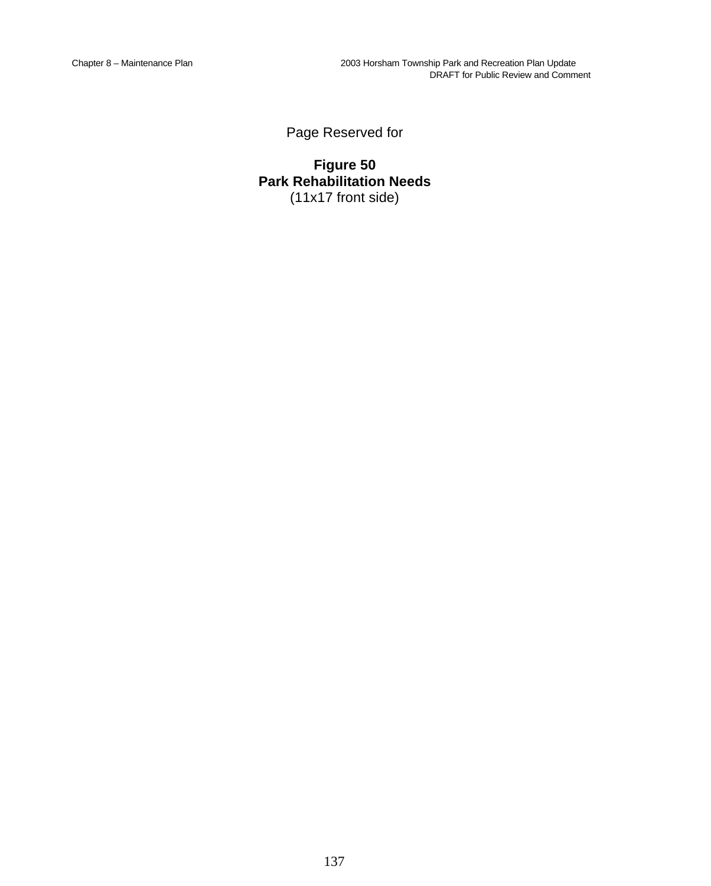Page Reserved for

**Figure 50 Park Rehabilitation Needs** (11x17 front side)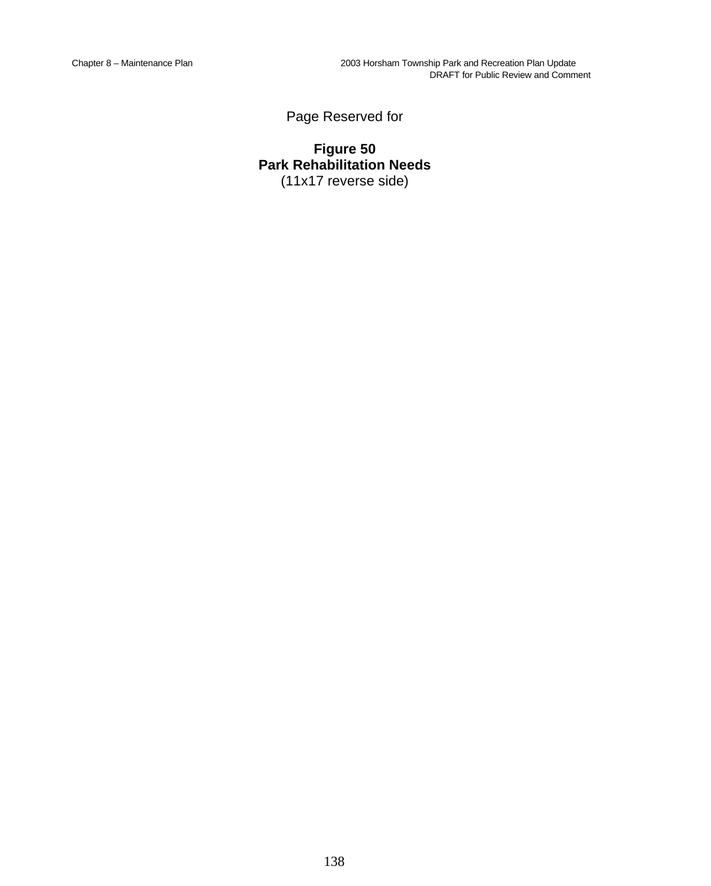Page Reserved for

**Figure 50 Park Rehabilitation Needs** (11x17 reverse side)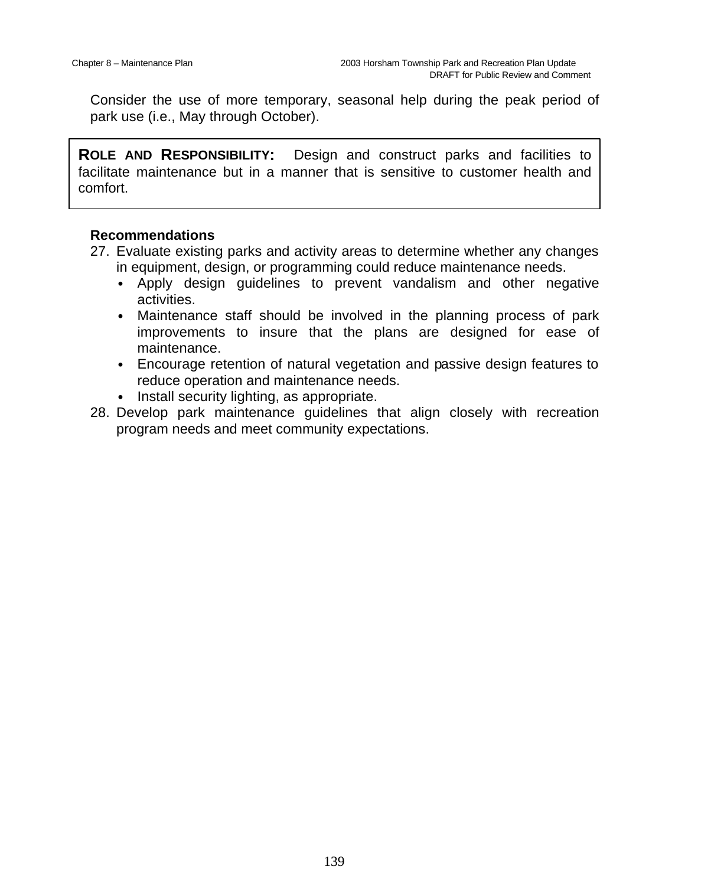Consider the use of more temporary, seasonal help during the peak period of park use (i.e., May through October).

**ROLE AND RESPONSIBILITY:** Design and construct parks and facilities to facilitate maintenance but in a manner that is sensitive to customer health and comfort.

- 27. Evaluate existing parks and activity areas to determine whether any changes in equipment, design, or programming could reduce maintenance needs.
	- Apply design guidelines to prevent vandalism and other negative activities.
	- Maintenance staff should be involved in the planning process of park improvements to insure that the plans are designed for ease of maintenance.
	- Encourage retention of natural vegetation and passive design features to reduce operation and maintenance needs.
	- Install security lighting, as appropriate.
- 28. Develop park maintenance guidelines that align closely with recreation program needs and meet community expectations.